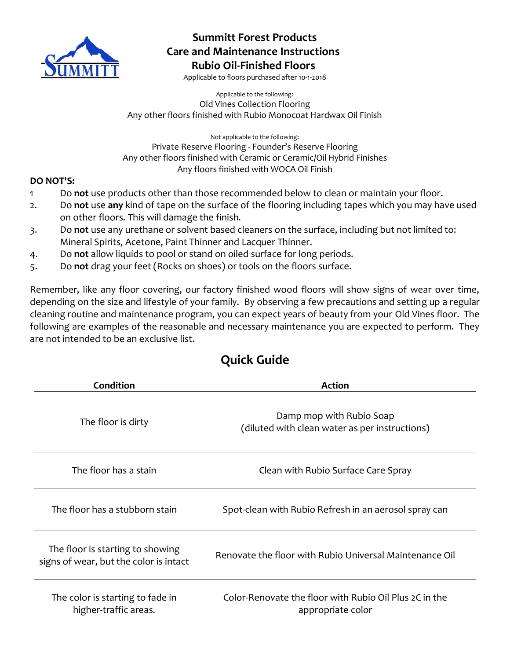

### **Summitt Forest Products Care and Maintenance Instructions Rubio Oil-Finished Floors**

Applicable to floors purchased after 10-1-2018

Applicable to the following: Old Vines Collection Flooring Any other floors finished with Rubio Monocoat Hardwax Oil Finish

Not applicable to the following: Private Reserve Flooring - Founder's Reserve Flooring Any other floors finished with Ceramic or Ceramic/Oil Hybrid Finishes Any floors finished with WOCA Oil Finish

#### **DO NOT'S:**

- 1 Do **not** use products other than those recommended below to clean or maintain your floor.
- 2. Do **not** use **any** kind of tape on the surface of the flooring including tapes which you may have used on other floors. This will damage the finish.
- 3. Do **not** use any urethane or solvent based cleaners on the surface, including but not limited to: Mineral Spirits, Acetone, Paint Thinner and Lacquer Thinner.
- 4. Do **not** allow liquids to pool or stand on oiled surface for long periods.
- 5. Do **not** drag your feet (Rocks on shoes) or tools on the floors surface.

Remember, like any floor covering, our factory finished wood floors will show signs of wear over time, depending on the size and lifestyle of your family. By observing a few precautions and setting up a regular cleaning routine and maintenance program, you can expect years of beauty from your Old Vines floor. The following are examples of the reasonable and necessary maintenance you are expected to perform. They are not intended to be an exclusive list.

## **Quick Guide**

| Condition                                                                  | <b>Action</b>                                                               |
|----------------------------------------------------------------------------|-----------------------------------------------------------------------------|
| The floor is dirty                                                         | Damp mop with Rubio Soap<br>(diluted with clean water as per instructions)  |
| The floor has a stain                                                      | Clean with Rubio Surface Care Spray                                         |
| The floor has a stubborn stain                                             | Spot-clean with Rubio Refresh in an aerosol spray can                       |
| The floor is starting to showing<br>signs of wear, but the color is intact | Renovate the floor with Rubio Universal Maintenance Oil                     |
| The color is starting to fade in<br>higher-traffic areas.                  | Color-Renovate the floor with Rubio Oil Plus 2C in the<br>appropriate color |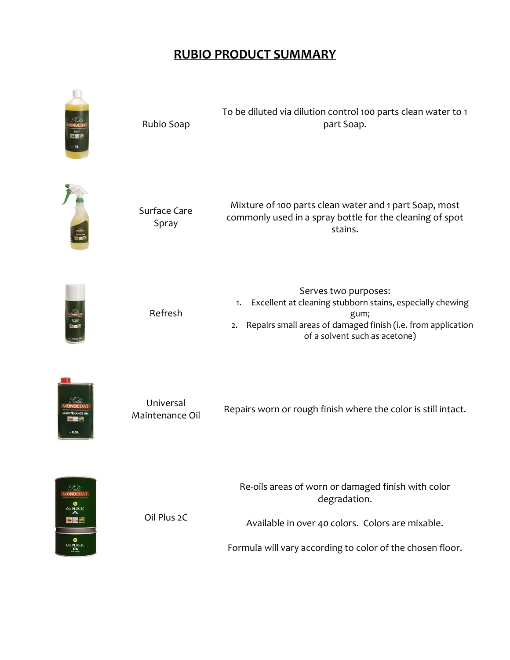# **RUBIO PRODUCT SUMMARY**



|            | To be diluted via dilution control 100 parts clean water to 1 |
|------------|---------------------------------------------------------------|
| Rubio Soap | part Soap.                                                    |



.<br>0,5L

日本学

| Surface Care<br>Spray        | Mixture of 100 parts clean water and 1 part Soap, most<br>commonly used in a spray bottle for the cleaning of spot<br>stains.                                                                          |
|------------------------------|--------------------------------------------------------------------------------------------------------------------------------------------------------------------------------------------------------|
| Refresh                      | Serves two purposes:<br>Excellent at cleaning stubborn stains, especially chewing<br>1.<br>gum;<br>Repairs small areas of damaged finish (i.e. from application<br>2.<br>of a solvent such as acetone) |
| Universal<br>Maintenance Oil | Repairs worn or rough finish where the color is still intact.                                                                                                                                          |
| Oil Plus 2C                  | Re-oils areas of worn or damaged finish with color<br>degradation.                                                                                                                                     |
|                              | Available in over 40 colors. Colors are mixable.                                                                                                                                                       |

Formula will vary according to color of the chosen floor.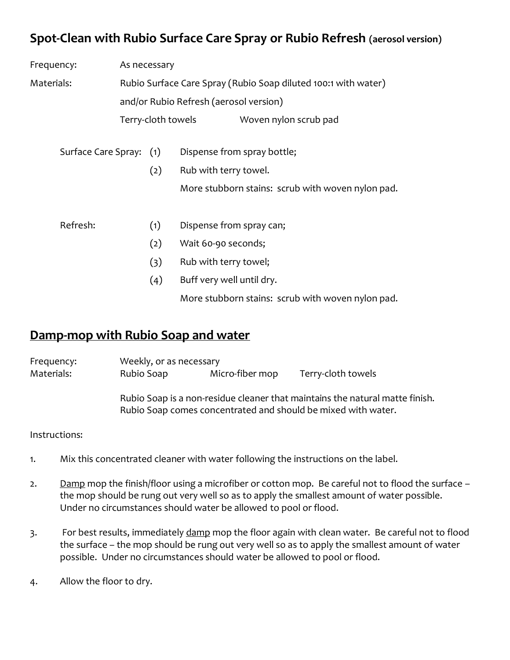## **Spot-Clean with Rubio Surface Care Spray or Rubio Refresh (aerosol version)**

| Frequency:              | As necessary |                    |                                                                |
|-------------------------|--------------|--------------------|----------------------------------------------------------------|
| Materials:              |              |                    | Rubio Surface Care Spray (Rubio Soap diluted 100:1 with water) |
|                         |              |                    | and/or Rubio Refresh (aerosol version)                         |
|                         |              | Terry-cloth towels | Woven nylon scrub pad                                          |
| Surface Care Spray: (1) |              |                    | Dispense from spray bottle;                                    |
|                         |              | (2)                | Rub with terry towel.                                          |
|                         |              |                    | More stubborn stains: scrub with woven nylon pad.              |
| Refresh:                |              | (1)                | Dispense from spray can;                                       |
|                         |              | (2)                | Wait 60-90 seconds;                                            |
|                         |              | (3)                | Rub with terry towel;                                          |
|                         |              | (4)                | Buff very well until dry.                                      |
|                         |              |                    | More stubborn stains: scrub with woven nylon pad.              |

## **Damp-mop with Rubio Soap and water**

| Frequency: | Weekly, or as necessary |                 |                    |
|------------|-------------------------|-----------------|--------------------|
| Materials: | Rubio Soap              | Micro-fiber mop | Terry-cloth towels |

Rubio Soap is a non-residue cleaner that maintains the natural matte finish. Rubio Soap comes concentrated and should be mixed with water.

Instructions:

- 1. Mix this concentrated cleaner with water following the instructions on the label.
- 2. Damp mop the finish/floor using a microfiber or cotton mop. Be careful not to flood the surface the mop should be rung out very well so as to apply the smallest amount of water possible. Under no circumstances should water be allowed to pool or flood.
- 3. For best results, immediately damp mop the floor again with clean water. Be careful not to flood the surface – the mop should be rung out very well so as to apply the smallest amount of water possible. Under no circumstances should water be allowed to pool or flood.
- 4. Allow the floor to dry.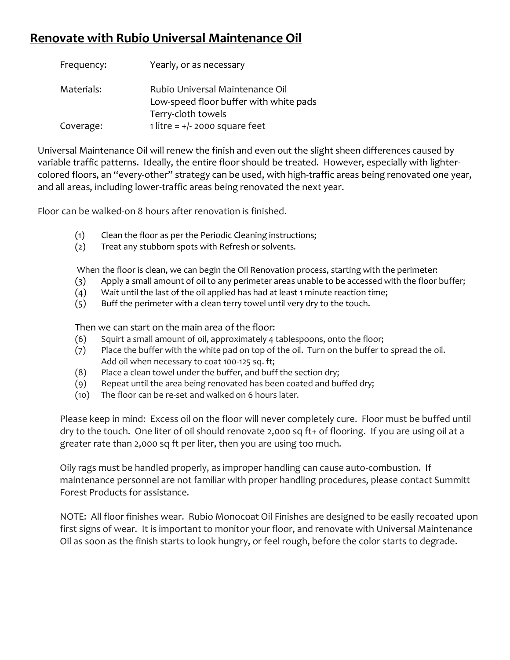## **Renovate with Rubio Universal Maintenance Oil**

| Frequency: | Yearly, or as necessary                                                                         |
|------------|-------------------------------------------------------------------------------------------------|
| Materials: | Rubio Universal Maintenance Oil<br>Low-speed floor buffer with white pads<br>Terry-cloth towels |
| Coverage:  | 1 litre = $+/- 2000$ square feet                                                                |

Universal Maintenance Oil will renew the finish and even out the slight sheen differences caused by variable traffic patterns. Ideally, the entire floor should be treated. However, especially with lightercolored floors, an "every-other" strategy can be used, with high-traffic areas being renovated one year, and all areas, including lower-traffic areas being renovated the next year.

Floor can be walked-on 8 hours after renovation is finished.

- (1) Clean the floor as per the Periodic Cleaning instructions;
- (2) Treat any stubborn spots with Refresh or solvents.

When the floor is clean, we can begin the Oil Renovation process, starting with the perimeter:

- (3) Apply a small amount of oil to any perimeter areas unable to be accessed with the floor buffer;
- (4) Wait until the last of the oil applied has had at least 1 minute reaction time;
- (5) Buff the perimeter with a clean terry towel until very dry to the touch.

Then we can start on the main area of the floor:

- (6) Squirt a small amount of oil, approximately 4 tablespoons, onto the floor;
- (7) Place the buffer with the white pad on top of the oil. Turn on the buffer to spread the oil. Add oil when necessary to coat 100-125 sq. ft;
- (8) Place a clean towel under the buffer, and buff the section dry;
- (9) Repeat until the area being renovated has been coated and buffed dry;
- (10) The floor can be re-set and walked on 6 hours later.

Please keep in mind: Excess oil on the floor will never completely cure. Floor must be buffed until dry to the touch. One liter of oil should renovate 2,000 sq ft+ of flooring. If you are using oil at a greater rate than 2,000 sq ft per liter, then you are using too much.

Oily rags must be handled properly, as improper handling can cause auto-combustion. If maintenance personnel are not familiar with proper handling procedures, please contact Summitt Forest Products for assistance.

NOTE: All floor finishes wear. Rubio Monocoat Oil Finishes are designed to be easily recoated upon first signs of wear. It is important to monitor your floor, and renovate with Universal Maintenance Oil as soon as the finish starts to look hungry, or feel rough, before the color starts to degrade.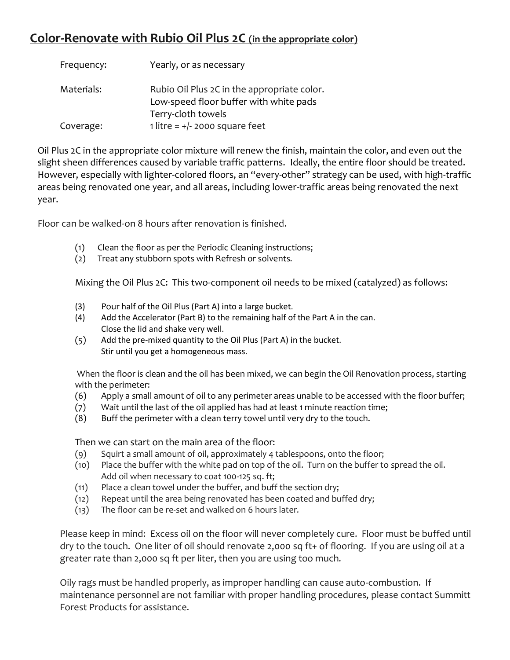## **Color-Renovate with Rubio Oil Plus 2C (in the appropriate color)**

| Frequency: | Yearly, or as necessary                                                               |
|------------|---------------------------------------------------------------------------------------|
| Materials: | Rubio Oil Plus 2C in the appropriate color.<br>Low-speed floor buffer with white pads |
|            | Terry-cloth towels                                                                    |
| Coverage:  | 1 litre = $+/-$ 2000 square feet                                                      |

Oil Plus 2C in the appropriate color mixture will renew the finish, maintain the color, and even out the slight sheen differences caused by variable traffic patterns. Ideally, the entire floor should be treated. However, especially with lighter-colored floors, an "every-other" strategy can be used, with high-traffic areas being renovated one year, and all areas, including lower-traffic areas being renovated the next year.

Floor can be walked-on 8 hours after renovation is finished.

- (1) Clean the floor as per the Periodic Cleaning instructions;
- (2) Treat any stubborn spots with Refresh or solvents.

Mixing the Oil Plus 2C: This two-component oil needs to be mixed (catalyzed) as follows:

- (3) Pour half of the Oil Plus (Part A) into a large bucket.
- (4) Add the Accelerator (Part B) to the remaining half of the Part A in the can. Close the lid and shake very well.
- (5) Add the pre-mixed quantity to the Oil Plus (Part A) in the bucket. Stir until you get a homogeneous mass.

When the floor is clean and the oil has been mixed, we can begin the Oil Renovation process, starting with the perimeter:

- (6) Apply a small amount of oil to any perimeter areas unable to be accessed with the floor buffer;
- (7) Wait until the last of the oil applied has had at least 1 minute reaction time;
- (8) Buff the perimeter with a clean terry towel until very dry to the touch.

Then we can start on the main area of the floor:

- (9) Squirt a small amount of oil, approximately 4 tablespoons, onto the floor;
- (10) Place the buffer with the white pad on top of the oil. Turn on the buffer to spread the oil. Add oil when necessary to coat 100-125 sq. ft;
- (11) Place a clean towel under the buffer, and buff the section dry;
- (12) Repeat until the area being renovated has been coated and buffed dry;
- (13) The floor can be re-set and walked on 6 hours later.

Please keep in mind: Excess oil on the floor will never completely cure. Floor must be buffed until dry to the touch. One liter of oil should renovate 2,000 sq ft+ of flooring. If you are using oil at a greater rate than 2,000 sq ft per liter, then you are using too much.

Oily rags must be handled properly, as improper handling can cause auto-combustion. If maintenance personnel are not familiar with proper handling procedures, please contact Summitt Forest Products for assistance.